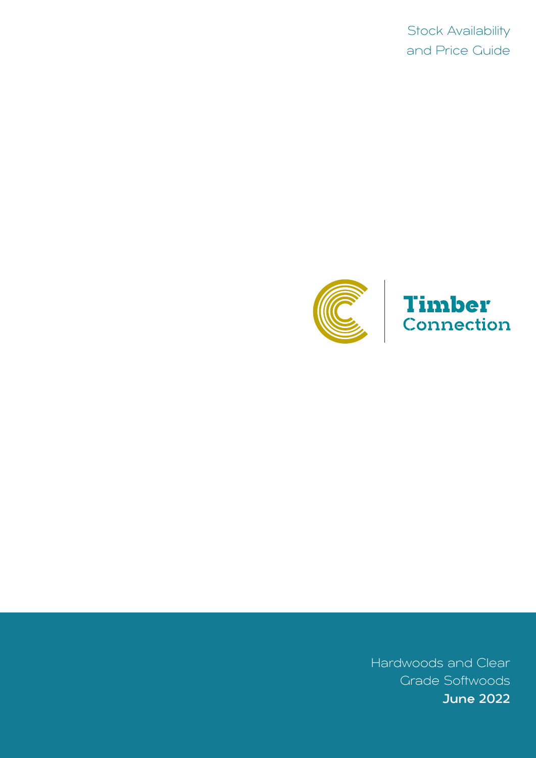Stock Availability and Price Guide



# Timber<br>Connection

Hardwoods and Clear Grade Softwoods June 2022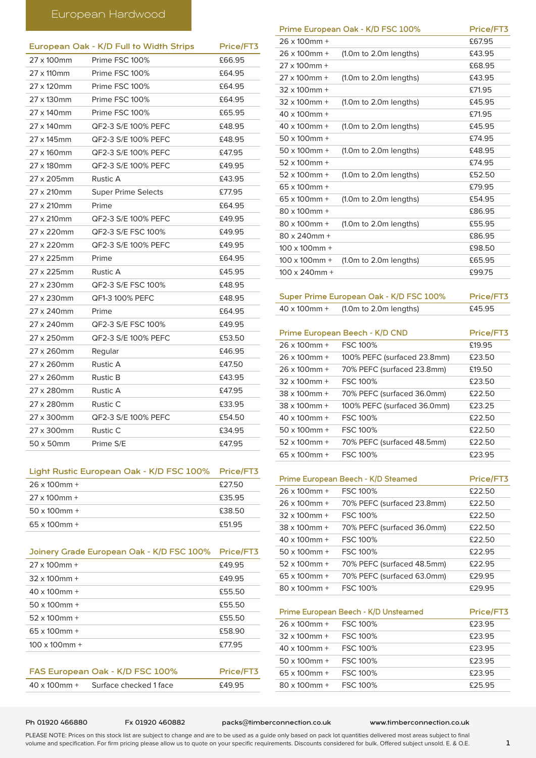# European Hardwood

|                    | European Oak - K/D Full to Width Strips | Price/FT3 |
|--------------------|-----------------------------------------|-----------|
| 27 x 100mm         | Prime FSC 100%                          | £66.95    |
| 27 x 110mm         | Prime FSC 100%                          | £64.95    |
| 27 x 120mm         | Prime FSC 100%                          | £64.95    |
| 27 x 130mm         | Prime FSC 100%                          | £64.95    |
| 27 x 140mm         | Prime FSC 100%                          | £65.95    |
| 27 x 140mm         | QF2-3 S/E 100% PEFC                     | £48.95    |
| 27 x 145mm         | QF2-3 S/E 100% PEFC                     | £48.95    |
| 27 x 160mm         | QF2-3 S/E 100% PEFC                     | £47.95    |
| 27 x 180mm         | QF2-3 S/E 100% PEFC                     | £49.95    |
| 27 x 205mm         | Rustic A                                | £43.95    |
| 27 x 210mm         | <b>Super Prime Selects</b>              | £77.95    |
| $27 \times 210$ mm | Prime                                   | £64.95    |
| 27 x 210mm         | QF2-3 S/E 100% PEFC                     | £49.95    |
| 27 x 220mm         | QF2-3 S/E FSC 100%                      | £49.95    |
| 27 x 220mm         | QF2-3 S/E 100% PEFC                     | £49.95    |
| 27 x 225mm         | Prime                                   | £64.95    |
| 27 x 225mm         | <b>Rustic A</b>                         | £45.95    |
| 27 x 230mm         | QF2-3 S/E FSC 100%                      | £48.95    |
| 27 x 230mm         | QF1-3 100% PEFC                         | £48.95    |
| 27 x 240mm         | Prime                                   | £64.95    |
| 27 x 240mm         | QF2-3 S/E FSC 100%                      | £49.95    |
| 27 x 250mm         | QF2-3 S/E 100% PEFC                     | £53.50    |
| 27 x 260mm         | Regular                                 | £46.95    |
| 27 x 260mm         | <b>Rustic A</b>                         | £47.50    |
| 27 x 260mm         | <b>Rustic B</b>                         | £43.95    |
| 27 x 280mm         | <b>Rustic A</b>                         | £47.95    |
| 27 x 280mm         | Rustic C                                | £33.95    |
| 27 x 300mm         | QF2-3 S/E 100% PEFC                     | £54.50    |
| 27 x 300mm         | Rustic C                                | £34.95    |
| 50 x 50mm          | Prime S/E                               | £47.95    |

## Light Rustic European Oak - K/D FSC 100% Price/FT3

| $26 \times 100$ mm + | £27.50 |
|----------------------|--------|
| $27 \times 100$ mm + | £35.95 |
| $50 \times 100$ mm + | £38.50 |
| $65 \times 100$ mm + | £51.95 |

| Joinery Grade European Oak - K/D FSC 100%      | Price/FT3 |
|------------------------------------------------|-----------|
| $27 \times 100$ mm +                           | £49.95    |
| $32 \times 100$ mm +                           | £49.95    |
| $40 \times 100$ mm +                           | £55.50    |
| $50 \times 100$ mm +                           | £55.50    |
| $52 \times 100$ mm +                           | £55.50    |
| $65 \times 100$ mm +                           | £58.90    |
| $100 \times 100$ mm +                          | £77.95    |
|                                                |           |
| FAS European Oak - K/D FSC 100%                | Price/FT3 |
| $40 \times 100$ mm +<br>Surface checked 1 face | £49.95    |

|                       | Prime European Oak - K/D FSC 100% | Price/FT3 |
|-----------------------|-----------------------------------|-----------|
| 26 x 100mm +          |                                   | £67.95    |
| $26 \times 100$ mm +  | (1.0m to 2.0m lengths)            | £43.95    |
| $27 \times 100$ mm +  |                                   | £68.95    |
| $27 \times 100$ mm +  | (1.0m to 2.0m lengths)            | £43.95    |
| $32 \times 100$ mm +  |                                   | £71.95    |
| $32 \times 100$ mm +  | (1.0m to 2.0m lengths)            | £45.95    |
| $40 \times 100$ mm +  |                                   | £71.95    |
| $40 \times 100$ mm +  | (1.0m to 2.0m lengths)            | £45.95    |
| $50 \times 100$ mm +  |                                   | £74.95    |
| $50 \times 100$ mm +  | (1.0m to 2.0m lengths)            | £48.95    |
| $52 \times 100$ mm +  |                                   | £74.95    |
| $52 \times 100$ mm +  | (1.0m to 2.0m lengths)            | £52.50    |
| $65 \times 100$ mm +  |                                   | £79.95    |
| 65 x 100mm +          | (1.0m to 2.0m lengths)            | £54.95    |
| 80 x 100mm +          |                                   | £86.95    |
| 80 x 100mm +          | (1.0m to 2.0m lengths)            | £55.95    |
| $80 \times 240$ mm +  |                                   | £86.95    |
| $100 \times 100$ mm + |                                   | £98.50    |
| $100 \times 100$ mm + | (1.0m to 2.0m lengths)            | £65.95    |
| $100 \times 240$ mm + |                                   | £99.75    |

Super Prime European Oak - K/D FSC 100% Price/FT3 x 100mm + (1.0m to 2.0m lengths) £45.95

| Prime European Beech - K/D CND |                             | Price/FT3 |
|--------------------------------|-----------------------------|-----------|
| $26 \times 100$ mm +           | <b>FSC 100%</b>             | £19.95    |
| $26 \times 100$ mm +           | 100% PEFC (surfaced 23.8mm) | £23.50    |
| $26 \times 100$ mm +           | 70% PEFC (surfaced 23.8mm)  | £19.50    |
| $32 \times 100$ mm +           | <b>FSC 100%</b>             | £23.50    |
| $38 \times 100$ mm +           | 70% PEFC (surfaced 36.0mm)  | £22.50    |
| $38 \times 100$ mm +           | 100% PEFC (surfaced 36.0mm) | £23.25    |
| $40 \times 100$ mm +           | <b>FSC 100%</b>             | £22.50    |
| $50 \times 100$ mm +           | <b>FSC 100%</b>             | £22.50    |
| $52 \times 100$ mm +           | 70% PEFC (surfaced 48.5mm)  | £22.50    |
| $65 \times 100$ mm +           | <b>FSC 100%</b>             | £23.95    |
|                                |                             |           |

|                      | Prime European Beech - K/D Steamed | Price/FT3 |
|----------------------|------------------------------------|-----------|
| $26 \times 100$ mm + | <b>FSC 100%</b>                    | £22.50    |
| $26 \times 100$ mm + | 70% PEFC (surfaced 23.8mm)         | £22.50    |
| $32 \times 100$ mm + | <b>FSC 100%</b>                    | £22.50    |
| $38 \times 100$ mm + | 70% PEFC (surfaced 36.0mm)         | £22.50    |
| $40 \times 100$ mm + | <b>FSC 100%</b>                    | £22.50    |
| $50 \times 100$ mm + | <b>FSC 100%</b>                    | £22.95    |
| $52 \times 100$ mm + | 70% PEFC (surfaced 48.5mm)         | £22.95    |
| $65 \times 100$ mm + | 70% PEFC (surfaced 63.0mm)         | £29.95    |
| $80 \times 100$ mm + | <b>FSC 100%</b>                    | £29.95    |
|                      |                                    |           |

|                      | Prime European Beech - K/D Unsteamed | Price/FT3 |
|----------------------|--------------------------------------|-----------|
| $26 \times 100$ mm + | <b>FSC 100%</b>                      | £23.95    |
| $32 \times 100$ mm + | <b>FSC 100%</b>                      | £23.95    |
| $40 \times 100$ mm + | <b>FSC 100%</b>                      | £23.95    |
| $50 \times 100$ mm + | <b>FSC 100%</b>                      | £23.95    |
| $65 \times 100$ mm + | <b>FSC 100%</b>                      | £23.95    |
| $80 \times 100$ mm + | <b>FSC 100%</b>                      | £25.95    |
|                      |                                      |           |

### Ph 01920 466880 Fx 01920 460882 packs@timberconnection.co.uk www.timberconnection.co.uk

PLEASE NOTE: Prices on this stock list are subject to change and are to be used as a guide only based on pack lot quantities delivered most areas subject to final volume and specification. For firm pricing please allow us to quote on your specific requirements. Discounts considered for bulk. Offered subject unsold. E. & O.E. 1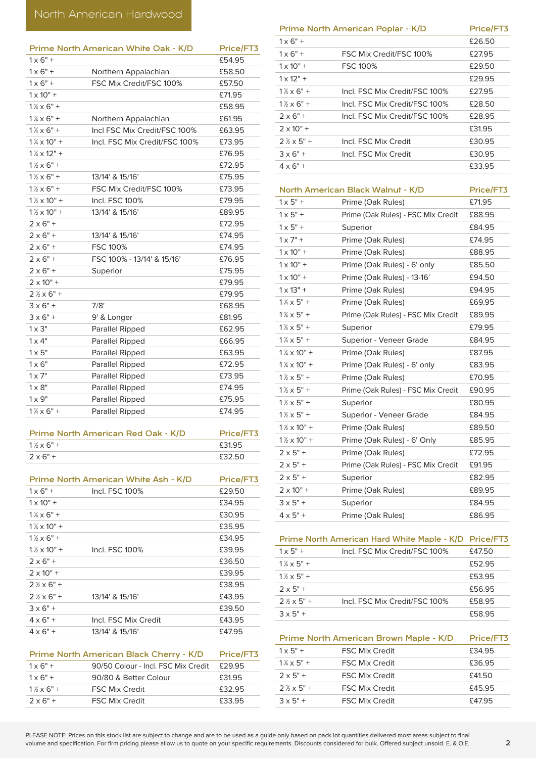|                              | Prime North American White Oak - K/D | Price/FT3 |
|------------------------------|--------------------------------------|-----------|
| $1 \times 6" +$              |                                      | £54.95    |
| $1 \times 6" +$              | Northern Appalachian                 | £58.50    |
| $1 \times 6" +$              | FSC Mix Credit/FSC 100%              | £57.50    |
| $1 \times 10" +$             |                                      | £71.95    |
| $1\frac{1}{4} \times 6"$ +   |                                      | £58.95    |
| $1\frac{1}{4} \times 6"$ +   | Northern Appalachian                 | £61.95    |
| $1\frac{1}{4} \times 6"$ +   | Incl FSC Mix Credit/FSC 100%         | £63.95    |
| $1\frac{1}{4} \times 10$ " + | Incl. FSC Mix Credit/FSC 100%        | £73.95    |
| $1\frac{1}{4} \times 12$ " + |                                      | £76.95    |
| $1\frac{1}{2} \times 6"$ +   |                                      | £72.95    |
| $1\frac{1}{2} \times 6" +$   | 13/14' & 15/16'                      | £75.95    |
| $1\frac{1}{2} \times 6"$ +   | FSC Mix Credit/FSC 100%              | £73.95    |
| $1\frac{1}{2} \times 10"$ +  | Incl. FSC 100%                       | £79.95    |
| $1\frac{1}{2} \times 10"$ +  | 13/14' & 15/16'                      | £89.95    |
| $2 \times 6" +$              |                                      | £72.95    |
| $2 \times 6" +$              | 13/14' & 15/16'                      | £74.95    |
| $2 \times 6" +$              | <b>FSC 100%</b>                      | £74.95    |
| $2 \times 6" +$              | FSC 100% - 13/14' & 15/16'           | £76.95    |
| $2 \times 6" +$              | Superior                             | £75.95    |
| $2 \times 10" +$             |                                      | £79.95    |
| $2$ $\frac{1}{2}$ x 6" +     |                                      | £79.95    |
| $3 \times 6" +$              | 7/8'                                 | £68.95    |
| $3 \times 6" +$              | 9' & Longer                          | £81.95    |
| $1 \times 3"$                | Parallel Ripped                      | £62.95    |
| $1 \times 4"$                | Parallel Ripped                      | £66.95    |
| $1 \times 5"$                | Parallel Ripped                      | £63.95    |
| $1 \times 6"$                | Parallel Ripped                      | £72.95    |
| $1 \times 7"$                | Parallel Ripped                      | £73.95    |
| $1 \times 8"$                | Parallel Ripped                      | £74.95    |
| $1 \times 9"$                | Parallel Ripped                      | £75.95    |
| $1\frac{1}{4} \times 6"$ +   | <b>Parallel Ripped</b>               | £74.95    |

| <b>Prime North American Red Oak - K/D</b> | Price/FT3 |
|-------------------------------------------|-----------|
| $1\frac{1}{2} \times 6"$ +                | £31.95    |
| $2 \times 6"$ +                           | £32.50    |
|                                           |           |

|                                         | Prime North American White Ash - K/D | Price/FT3 |
|-----------------------------------------|--------------------------------------|-----------|
| $1 \times 6" +$                         | Incl. FSC 100%                       | £29.50    |
| $1 \times 10" +$                        |                                      | £34.95    |
| $1\frac{1}{4} \times 6" +$              |                                      | £30.95    |
| $1\frac{1}{4} \times 10$ " +            |                                      | £35.95    |
| $1\frac{1}{2} \times 6"$ +              |                                      | £34.95    |
| $1\frac{1}{2} \times 10$ " +            | Incl. FSC 100%                       | £39.95    |
| $2 \times 6" +$                         |                                      | £36.50    |
| $2 \times 10" +$                        |                                      | £39.95    |
| $2\frac{1}{2} \times 6"$ +              |                                      | £38.95    |
| $2\frac{1}{2} \times 6"$ +              | 13/14' & 15/16'                      | £43.95    |
| $3 \times 6" +$                         |                                      | £39.50    |
| $4 \times 6" +$                         | Incl. FSC Mix Credit                 | £43.95    |
| $4 \times 6" +$                         | 13/14' & 15/16'                      | £47.95    |
|                                         |                                      |           |
| Prime North American Black Cherry - K/D |                                      | Price/FT3 |

| $1 \times 6" +$            | 90/50 Colour - Incl. FSC Mix Credit | £29.95 |
|----------------------------|-------------------------------------|--------|
| $1 \times 6" +$            | 90/80 & Better Colour               | £31.95 |
| $1\frac{1}{2} \times 6"$ + | <b>FSC Mix Credit</b>               | £32.95 |
| $2 \times 6"$ +            | <b>FSC Mix Credit</b>               | £33.95 |
|                            |                                     |        |

|                            | Prime North American Poplar - K/D | Price/FT3 |
|----------------------------|-----------------------------------|-----------|
| $1 \times 6" +$            |                                   | £26.50    |
| $1 \times 6" +$            | FSC Mix Credit/FSC 100%           | £27.95    |
| $1 \times 10" +$           | <b>FSC 100%</b>                   | £29.50    |
| $1 \times 12" +$           |                                   | £29.95    |
| $1\frac{1}{4} \times 6"$ + | Incl. FSC Mix Credit/FSC 100%     | £27.95    |
| $1\frac{1}{2} \times 6"$ + | Incl. FSC Mix Credit/FSC 100%     | £28.50    |
| $2 \times 6"$ +            | Incl. FSC Mix Credit/FSC 100%     | £28.95    |
| $2 \times 10" +$           |                                   | £31.95    |
| $2\frac{1}{2} \times 5"$ + | Incl. FSC Mix Credit              | £30.95    |
| $3 \times 6" +$            | Incl. FSC Mix Credit              | £30.95    |
| $4 \times 6" +$            |                                   | £33.95    |
|                            |                                   |           |

| North American Black Walnut - K/D |                                    | Price/FT3 |
|-----------------------------------|------------------------------------|-----------|
| $1 \times 5"$ +                   | Prime (Oak Rules)                  | £71.95    |
| $1 \times 5" +$                   | Prime (Oak Rules) - FSC Mix Credit | £88.95    |
| $1 \times 5" +$                   | Superior                           | £84.95    |
| $1 \times 7" +$                   | Prime (Oak Rules)                  | £74.95    |
| $1 \times 10" +$                  | Prime (Oak Rules)                  | £88.95    |
| $1 \times 10" +$                  | Prime (Oak Rules) - 6' only        | £85.50    |
| $1 \times 10" +$                  | Prime (Oak Rules) - 13-16'         | £94.50    |
| $1 \times 13" +$                  | Prime (Oak Rules)                  | £94.95    |
| $1\frac{1}{4} \times 5"$ +        | Prime (Oak Rules)                  | £69.95    |
| $1\frac{1}{4} \times 5$ " +       | Prime (Oak Rules) - FSC Mix Credit | £89.95    |
| $1\frac{1}{4} \times 5$ " +       | Superior                           | £79.95    |
| $1\frac{1}{4} \times 5$ " +       | Superior - Veneer Grade            | £84.95    |
| $1\frac{1}{4} \times 10$ " +      | Prime (Oak Rules)                  | £87.95    |
| $1\frac{1}{4} \times 10$ " +      | Prime (Oak Rules) - 6' only        | £83.95    |
| $1\frac{1}{2} \times 5"$ +        | Prime (Oak Rules)                  | £70.95    |
| $1\frac{1}{2} \times 5"$ +        | Prime (Oak Rules) - FSC Mix Credit | £90.95    |
| $1\frac{1}{2} \times 5"$ +        | Superior                           | £80.95    |
| $1\frac{1}{2} \times 5"$ +        | Superior - Veneer Grade            | £84.95    |
| $1\frac{1}{2} \times 10"$ +       | Prime (Oak Rules)                  | £89.50    |
| $1\frac{1}{2} \times 10"$ +       | Prime (Oak Rules) - 6' Only        | £85.95    |
| $2 \times 5" +$                   | Prime (Oak Rules)                  | £72.95    |
| $2 \times 5" +$                   | Prime (Oak Rules) - FSC Mix Credit | £91.95    |
| $2 \times 5" +$                   | Superior                           | £82.95    |
| $2 \times 10" +$                  | Prime (Oak Rules)                  | £89.95    |
| $3 \times 5" +$                   | Superior                           | £84.95    |
| $4 \times 5" +$                   | Prime (Oak Rules)                  | £86.95    |

## Prime North American Hard White Maple - K/D Price/FT3

| $1 \times 5" +$            | Incl. FSC Mix Credit/FSC 100% | £47.50 |
|----------------------------|-------------------------------|--------|
| $1\frac{1}{4} \times 5" +$ |                               | £52.95 |
| $1\% \times 5" +$          |                               | £53.95 |
| $2 \times 5" +$            |                               | £56.95 |
| $2\frac{1}{2} \times 5"$ + | Incl. FSC Mix Credit/FSC 100% | £58.95 |
| $3 \times 5" +$            |                               | £58.95 |

| Prime North American Brown Maple - K/D |                       | Price/FT3 |
|----------------------------------------|-----------------------|-----------|
| $1 \times 5" +$                        | <b>FSC Mix Credit</b> | £34.95    |
| $1\frac{1}{4} \times 5" +$             | <b>FSC Mix Credit</b> | £36.95    |
| $2 \times 5"$ +                        | <b>FSC Mix Credit</b> | £41.50    |
| $2\frac{1}{2} \times 5"$ +             | <b>FSC Mix Credit</b> | £45.95    |
| $3 \times 5" +$                        | <b>FSC Mix Credit</b> | £47.95    |
|                                        |                       |           |

 $\overline{a}$ 

 $\overline{a}$ 

 $\overline{\phantom{a}}$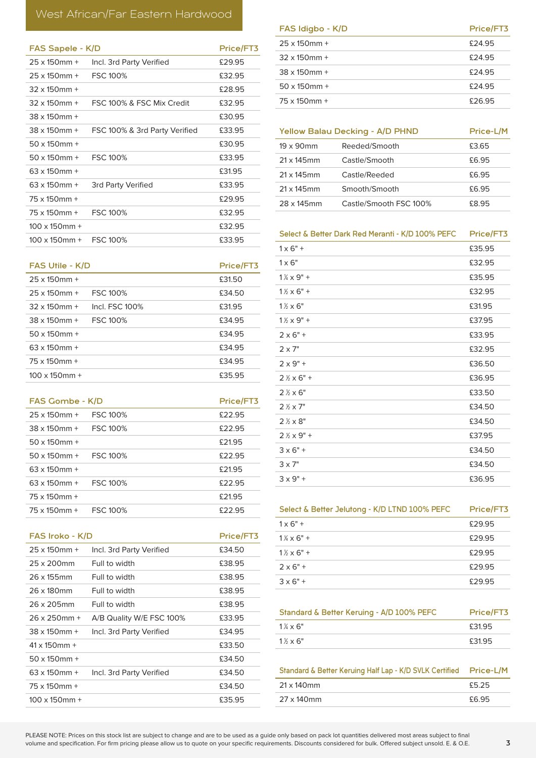# West African/Far Eastern Hardwood

| FAS Sapele - K/D      |                               | Price/FT3 |
|-----------------------|-------------------------------|-----------|
| $25 \times 150$ mm +  | Incl. 3rd Party Verified      | £29.95    |
| $25 \times 150$ mm +  | <b>FSC 100%</b>               | £32.95    |
| $32 \times 150$ mm +  |                               | £28.95    |
| $32 \times 150$ mm +  | FSC 100% & FSC Mix Credit     | £32.95    |
| $38 \times 150$ mm +  |                               | £30.95    |
| 38 x 150mm +          | FSC 100% & 3rd Party Verified | £33.95    |
| $50 \times 150$ mm +  |                               | £30.95    |
| $50 \times 150$ mm +  | <b>FSC 100%</b>               | £33.95    |
| $63 \times 150$ mm +  |                               | £31.95    |
| $63 \times 150$ mm +  | 3rd Party Verified            | £33.95    |
| $75 \times 150$ mm +  |                               | £29.95    |
| 75 x 150mm +          | <b>FSC 100%</b>               | £32.95    |
| $100 \times 150$ mm + |                               | £32.95    |
| $100 \times 150$ mm + | <b>FSC 100%</b>               | £33.95    |

| <b>FAS Utile - K/D</b> |                 | Price/FT3 |
|------------------------|-----------------|-----------|
| $25 \times 150$ mm +   |                 | £31.50    |
| $25 \times 150$ mm +   | <b>FSC 100%</b> | £34.50    |
| $32 \times 150$ mm +   | Incl. FSC. 100% | £31.95    |
| $38 \times 150$ mm +   | <b>FSC 100%</b> | £34.95    |
| $50 \times 150$ mm +   |                 | £34.95    |
| $63 \times 150$ mm +   |                 | £34.95    |
| $75 \times 150$ mm +   |                 | £34.95    |
| $100 \times 150$ mm +  |                 | £35.95    |

| <b>FAS Gombe - K/D</b> |                 | Price/FT3 |
|------------------------|-----------------|-----------|
| $25 \times 150$ mm +   | <b>FSC 100%</b> | £22.95    |
| $38 \times 150$ mm +   | <b>FSC 100%</b> | £22.95    |
| $50 \times 150$ mm +   |                 | £21.95    |
| $50 \times 150$ mm +   | <b>FSC 100%</b> | £22.95    |
| $63 \times 150$ mm +   |                 | £21.95    |
| $63 \times 150$ mm +   | <b>FSC 100%</b> | £22.95    |
| $75 \times 150$ mm +   |                 | £21.95    |
| $75 \times 150$ mm +   | FSC 100%        | £22.95    |

| FAS Iroko - K/D       |                          | Price/FT3 |
|-----------------------|--------------------------|-----------|
| $25 \times 150$ mm +  | Incl. 3rd Party Verified | £34.50    |
| 25 x 200mm            | Full to width            | £38.95    |
| 26 x 155mm            | Full to width            | £38.95    |
| 26 x 180mm            | Full to width            | £38.95    |
| 26 x 205mm            | Full to width            | £38.95    |
| $26 \times 250$ mm +  | A/B Quality W/E FSC 100% | £33.95    |
| $38 \times 150$ mm +  | Incl. 3rd Party Verified | £34.95    |
| $41 \times 150$ mm +  |                          | £33.50    |
| $50 \times 150$ mm +  |                          | £34.50    |
| $63 \times 150$ mm +  | Incl. 3rd Party Verified | £34.50    |
| $75 \times 150$ mm +  |                          | £34.50    |
| $100 \times 150$ mm + |                          | £35.95    |
|                       |                          |           |

| FAS Idigbo - K/D     | Price/FT3 |
|----------------------|-----------|
| $25 \times 150$ mm + | £24.95    |
| $32 \times 150$ mm + | £24.95    |
| $38 \times 150$ mm + | £24.95    |
| $50 \times 150$ mm + | £24.95    |
| $75 \times 150$ mm + | £26.95    |
|                      |           |

| <b>Yellow Balau Decking - A/D PHND</b> |                        | Price-L/M |
|----------------------------------------|------------------------|-----------|
| $19 \times 90$ mm                      | Reeded/Smooth          | £3.65     |
| $21 \times 145$ mm                     | Castle/Smooth          | £6.95     |
| $21 \times 145$ mm                     | Castle/Reeded          | £6.95     |
| $21 \times 145$ mm                     | Smooth/Smooth          | £6.95     |
| 28 x 145mm                             | Castle/Smooth FSC 100% | £8.95     |

Select & Better Dark Red Meranti - K/D 100% PEFC Price/FT3

| $1 \times 6" +$             | £35.95 |
|-----------------------------|--------|
| $1 \times 6"$               | £32.95 |
| $1\frac{1}{4} \times 9"$ +  | £35.95 |
| $1\frac{1}{2} \times 6"$ +  | £32.95 |
| $1\% \times 6"$             | £31.95 |
| $1\frac{1}{2} \times 9"$ +  | £37.95 |
| $2 \times 6"$ +             | £33.95 |
| $2 \times 7"$               | £32.95 |
| $2 \times 9"$ +             | £36.50 |
| $2\frac{1}{2} \times 6"$ +  | £36.95 |
| $2% \times 6"$              | £33.50 |
| $2 \frac{1}{2} \times 7$ "  | £34.50 |
| $2\% \times 8"$             | £34.50 |
| $2 \frac{1}{2} \times 9"$ + | £37.95 |
| $3 \times 6" +$             | £34.50 |
| $3 \times 7"$               | £34.50 |
| $3 \times 9" +$             | £36.95 |

| Select & Better Jelutong - K/D LTND 100% PEFC | Price/FT3 |
|-----------------------------------------------|-----------|
| $1 \times 6" +$                               | £29.95    |
| $1\frac{1}{4} \times 6"$ +                    | £29.95    |
| $1\frac{1}{2} \times 6" +$                    | £29.95    |
| $2 \times 6" +$                               | £29.95    |
| $3 \times 6" +$                               | £29.95    |

| Standard & Better Keruing - A/D 100% PEFC | Price/FT3 |
|-------------------------------------------|-----------|
| $1\% \times 6"$                           | £31.95    |
| $1\% \times 6"$                           | £31.95    |

| Standard & Better Keruing Half Lap - K/D SVLK Certified | Price-L/M |
|---------------------------------------------------------|-----------|
| 21 x 140mm                                              | £5.25     |
| 27 x 140mm                                              | £6.95     |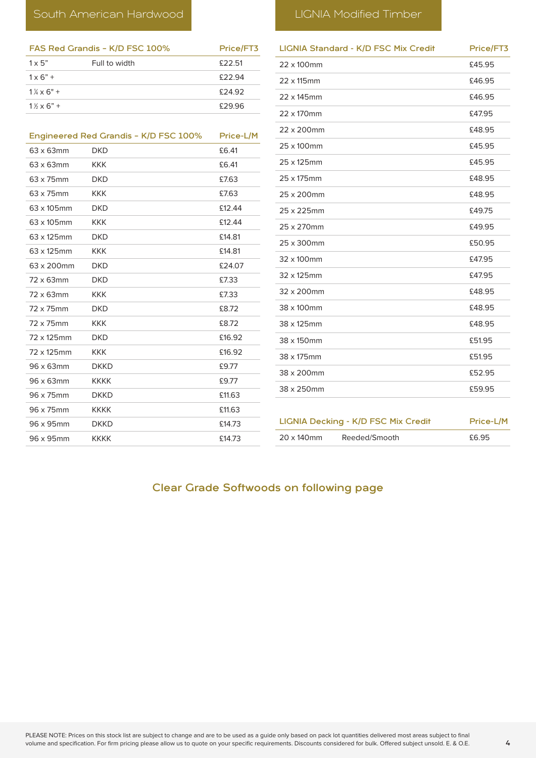| FAS Red Grandis - K/D FSC 100% |               | Price/FT3 |
|--------------------------------|---------------|-----------|
| $1 \times 5"$                  | Full to width | £22.51    |
| $1 \times 6" +$                |               | £22.94    |
| $1\frac{1}{4} \times 6" +$     |               | £24.92    |
| $1\frac{1}{2} \times 6$ " +    |               | £29.96    |
|                                |               |           |

|            | Engineered Red Grandis - K/D FSC 100% | Price-L/M |
|------------|---------------------------------------|-----------|
| 63 x 63mm  | <b>DKD</b>                            | £6.41     |
| 63 x 63mm  | <b>KKK</b>                            | £6.41     |
| 63 x 75mm  | <b>DKD</b>                            | £7.63     |
| 63 x 75mm  | <b>KKK</b>                            | £7.63     |
| 63 x 105mm | <b>DKD</b>                            | £12.44    |
| 63 x 105mm | <b>KKK</b>                            | £12.44    |
| 63 x 125mm | <b>DKD</b>                            | £14.81    |
| 63 x 125mm | <b>KKK</b>                            | £14.81    |
| 63 x 200mm | <b>DKD</b>                            | £24.07    |
| 72 x 63mm  | <b>DKD</b>                            | £7.33     |
| 72 x 63mm  | <b>KKK</b>                            | £7.33     |
| 72 x 75mm  | <b>DKD</b>                            | £8.72     |
| 72 x 75mm  | <b>KKK</b>                            | £8.72     |
| 72 x 125mm | <b>DKD</b>                            | £16.92    |
| 72 x 125mm | <b>KKK</b>                            | £16.92    |
| 96 x 63mm  | <b>DKKD</b>                           | £9.77     |
| 96 x 63mm  | <b>KKKK</b>                           | £9.77     |
| 96 x 75mm  | <b>DKKD</b>                           | £11.63    |
| 96 x 75mm  | <b>KKKK</b>                           | £11.63    |
| 96 x 95mm  | <b>DKKD</b>                           | £14.73    |
| 96 x 95mm  | <b>KKKK</b>                           | £14.73    |

| <b>LIGNIA Standard - K/D FSC Mix Credit</b> | Price/FT3 |
|---------------------------------------------|-----------|
| 22 x 100mm                                  | £45.95    |
| 22 x 115mm                                  | £46.95    |
| 22 x 145mm                                  | £46.95    |
| 22 x 170mm                                  | £47.95    |
| 22 x 200mm                                  | £48.95    |
| 25 x 100mm                                  | £45.95    |
| 25 x 125mm                                  | £45.95    |
| 25 x 175mm                                  | £48.95    |
| 25 x 200mm                                  | £48.95    |
| 25 x 225mm                                  | £49.75    |
| 25 x 270mm                                  | £49.95    |
| 25 x 300mm                                  | £50.95    |
| 32 x 100mm                                  | £47.95    |
| 32 x 125mm                                  | £47.95    |
| 32 x 200mm                                  | £48.95    |
| 38 x 100mm                                  | £48.95    |
| 38 x 125mm                                  | £48.95    |
| 38 x 150mm                                  | £51.95    |
| 38 x 175mm                                  | £51.95    |
| 38 x 200mm                                  | £52.95    |
| 38 x 250mm                                  | £59.95    |
|                                             |           |
| <b>LIGNIA Decking - K/D FSC Mix Credit</b>  | Price-L/M |
| 20 x 140mm<br>Reeded/Smooth                 | £6.95     |

# Clear Grade Softwoods on following page